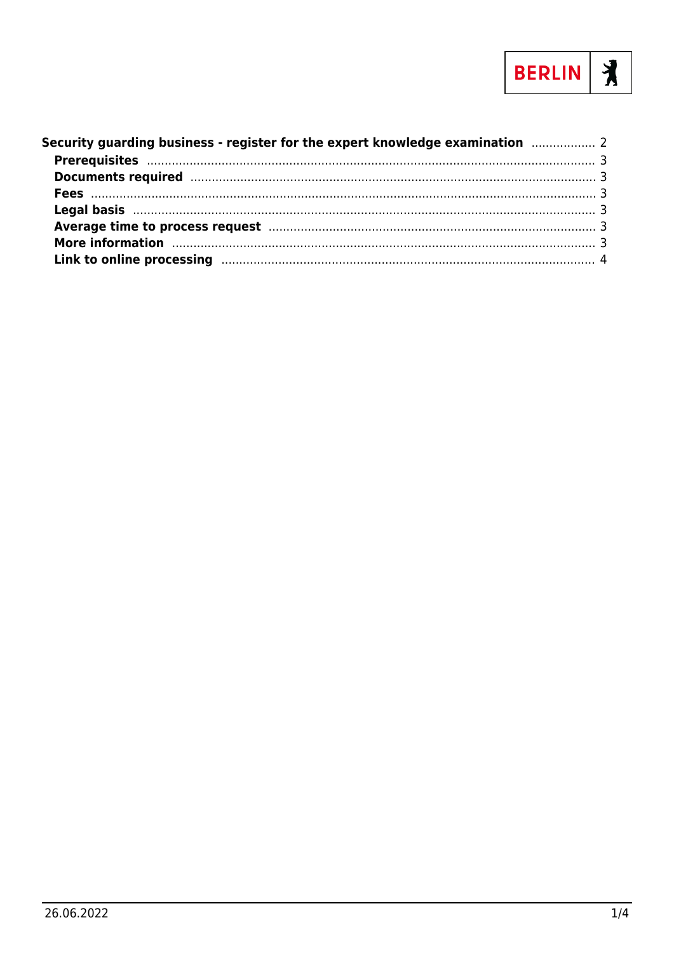

| Security guarding business - register for the expert knowledge examination <b>metallisher and</b> 2                                                                                                                            |  |
|--------------------------------------------------------------------------------------------------------------------------------------------------------------------------------------------------------------------------------|--|
|                                                                                                                                                                                                                                |  |
| Documents required manufactured and the contract of the contract of the contract of the contract of the contract of the contract of the contract of the contract of the contract of the contract of the contract of the contra |  |
|                                                                                                                                                                                                                                |  |
|                                                                                                                                                                                                                                |  |
|                                                                                                                                                                                                                                |  |
| More information manufactured and the contract of the contract of the contract of the contract of the contract of the contract of the contract of the contract of the contract of the contract of the contract of the contract |  |
| Link to online processing manufactured and the contract of the processing and the contract of the contract of                                                                                                                  |  |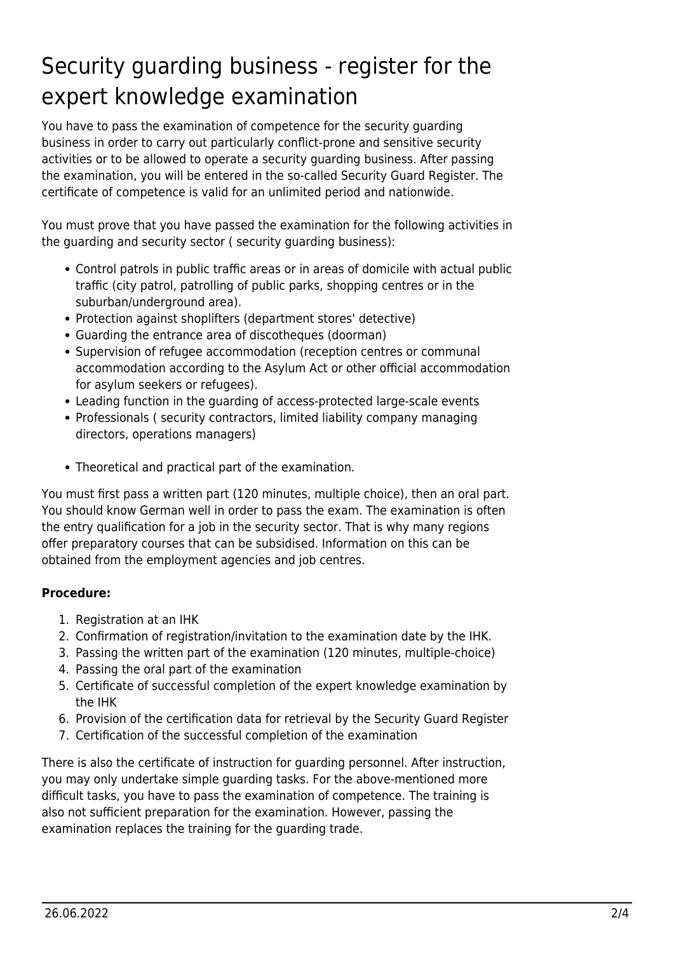# <span id="page-1-0"></span>Security guarding business - register for the expert knowledge examination

You have to pass the examination of competence for the security guarding business in order to carry out particularly conflict-prone and sensitive security activities or to be allowed to operate a security guarding business. After passing the examination, you will be entered in the so-called Security Guard Register. The certificate of competence is valid for an unlimited period and nationwide.

You must prove that you have passed the examination for the following activities in the guarding and security sector ( security guarding business):

- Control patrols in public traffic areas or in areas of domicile with actual public traffic (city patrol, patrolling of public parks, shopping centres or in the suburban/underground area).
- Protection against shoplifters (department stores' detective)
- Guarding the entrance area of discotheques (doorman)
- Supervision of refugee accommodation (reception centres or communal accommodation according to the Asylum Act or other official accommodation for asylum seekers or refugees).
- Leading function in the guarding of access-protected large-scale events
- Professionals ( security contractors, limited liability company managing directors, operations managers)
- Theoretical and practical part of the examination.

You must first pass a written part (120 minutes, multiple choice), then an oral part. You should know German well in order to pass the exam. The examination is often the entry qualification for a job in the security sector. That is why many regions offer preparatory courses that can be subsidised. Information on this can be obtained from the employment agencies and job centres.

#### **Procedure:**

- 1. Registration at an IHK
- 2. Confirmation of registration/invitation to the examination date by the IHK.
- 3. Passing the written part of the examination (120 minutes, multiple-choice)
- 4. Passing the oral part of the examination
- 5. Certificate of successful completion of the expert knowledge examination by the IHK
- 6. Provision of the certification data for retrieval by the Security Guard Register
- 7. Certification of the successful completion of the examination

There is also the certificate of instruction for guarding personnel. After instruction, you may only undertake simple guarding tasks. For the above-mentioned more difficult tasks, you have to pass the examination of competence. The training is also not sufficient preparation for the examination. However, passing the examination replaces the training for the guarding trade.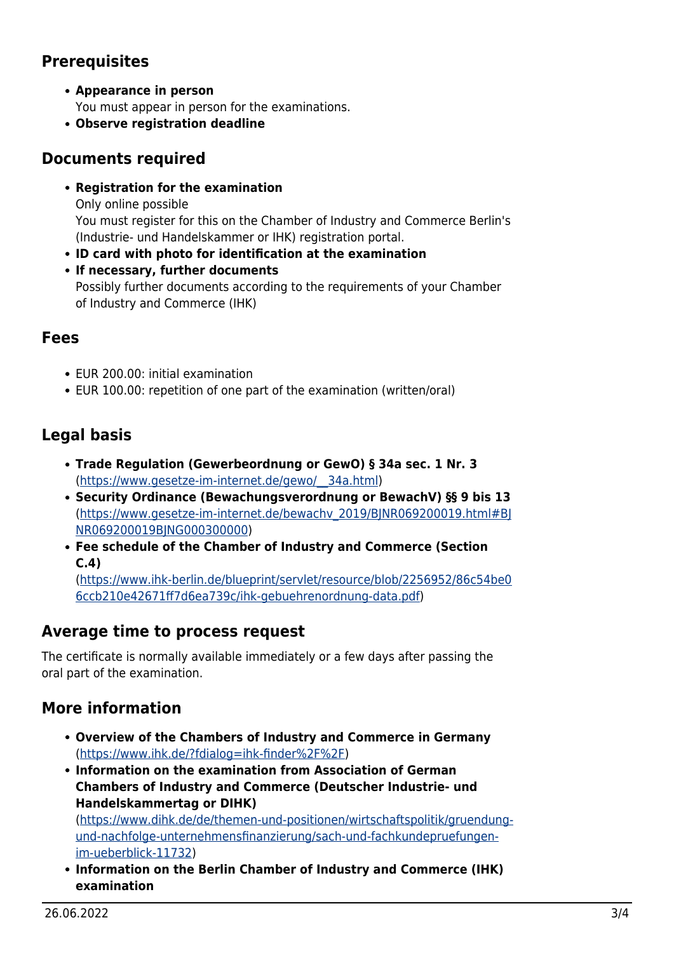## **Prerequisites**

**Appearance in person**

You must appear in person for the examinations.

**Observe registration deadline**

#### <span id="page-2-1"></span>**Documents required**

**Registration for the examination**

Only online possible You must register for this on the Chamber of Industry and Commerce Berlin's (Industrie- und Handelskammer or IHK) registration portal.

- **ID card with photo for identification at the examination**
- **If necessary, further documents** Possibly further documents according to the requirements of your Chamber of Industry and Commerce (IHK)

### <span id="page-2-2"></span>**Fees**

- EUR 200.00: initial examination
- EUR 100.00: repetition of one part of the examination (written/oral)

## <span id="page-2-3"></span>**Legal basis**

- **Trade Regulation (Gewerbeordnung or GewO) § 34a sec. 1 Nr. 3** ([https://www.gesetze-im-internet.de/gewo/\\_\\_34a.html](https://www.gesetze-im-internet.de/gewo/__34a.html))
- **Security Ordinance (Bewachungsverordnung or BewachV) §§ 9 bis 13** ([https://www.gesetze-im-internet.de/bewachv\\_2019/BJNR069200019.html#BJ](https://www.gesetze-im-internet.de/bewachv_2019/BJNR069200019.html#BJNR069200019BJNG000300000) [NR069200019BJNG000300000](https://www.gesetze-im-internet.de/bewachv_2019/BJNR069200019.html#BJNR069200019BJNG000300000))
- **Fee schedule of the Chamber of Industry and Commerce (Section C.4)**

([https://www.ihk-berlin.de/blueprint/servlet/resource/blob/2256952/86c54be0](https://www.ihk-berlin.de/blueprint/servlet/resource/blob/2256952/86c54be06ccb210e42671ff7d6ea739c/ihk-gebuehrenordnung-data.pdf) [6ccb210e42671ff7d6ea739c/ihk-gebuehrenordnung-data.pdf\)](https://www.ihk-berlin.de/blueprint/servlet/resource/blob/2256952/86c54be06ccb210e42671ff7d6ea739c/ihk-gebuehrenordnung-data.pdf)

## <span id="page-2-4"></span>**Average time to process request**

The certificate is normally available immediately or a few days after passing the oral part of the examination.

## <span id="page-2-5"></span>**More information**

- **Overview of the Chambers of Industry and Commerce in Germany** (<https://www.ihk.de/?fdialog=ihk-finder%2F%2F>)
- **Information on the examination from Association of German Chambers of Industry and Commerce (Deutscher Industrie- und Handelskammertag or DIHK)**

([https://www.dihk.de/de/themen-und-positionen/wirtschaftspolitik/gruendung](https://www.dihk.de/de/themen-und-positionen/wirtschaftspolitik/gruendung-und-nachfolge-unternehmensfinanzierung/sach-und-fachkundepruefungen-im-ueberblick-11732)[und-nachfolge-unternehmensfinanzierung/sach-und-fachkundepruefungen](https://www.dihk.de/de/themen-und-positionen/wirtschaftspolitik/gruendung-und-nachfolge-unternehmensfinanzierung/sach-und-fachkundepruefungen-im-ueberblick-11732)[im-ueberblick-11732\)](https://www.dihk.de/de/themen-und-positionen/wirtschaftspolitik/gruendung-und-nachfolge-unternehmensfinanzierung/sach-und-fachkundepruefungen-im-ueberblick-11732)

<span id="page-2-0"></span>**Information on the Berlin Chamber of Industry and Commerce (IHK) examination**